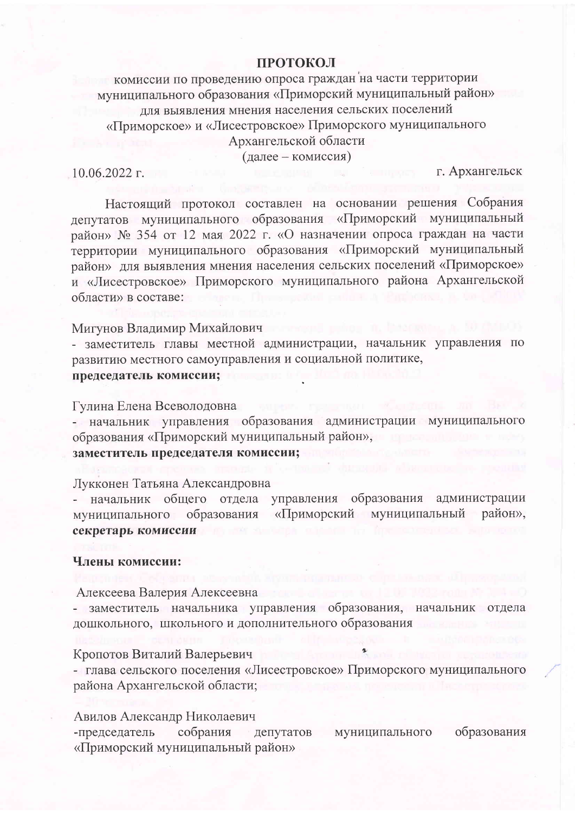## **ПРОТОКОЛ**

комиссии по проведению опроса граждан на части территории муниципального образования «Приморский муниципальный район» для выявления мнения населения сельских поселений «Приморское» и «Лисестровское» Приморского муниципального Архангельской области (лалее – комиссия)

 $10.06.2022$  r.

г. Архангельск

Настоящий протокол составлен на основании решения Собрания депутатов муниципального образования «Приморский муниципальный район» № 354 от 12 мая 2022 г. «О назначении опроса граждан на части территории муниципального образования «Приморский муниципальный район» для выявления мнения населения сельских поселений «Приморское» и «Лисестровское» Приморского муниципального района Архангельской области» в составе:

#### Мигунов Владимир Михайлович

- заместитель главы местной администрации, начальник управления по развитию местного самоуправления и социальной политике,

# председатель комиссии;

#### Гулина Елена Всеволодовна

- начальник управления образования администрации муниципального образования «Приморский муниципальный район», заместитель председателя комиссии;

# Лукконен Татьяна Александровна

начальник общего отдела управления образования администрации муниципальный район». «Приморский муниципального образования секретарь комиссии

#### Члены комиссии:

Алексеева Валерия Алексеевна

- заместитель начальника управления образования, начальник отдела дошкольного, школьного и дополнительного образования

## Кропотов Виталий Валерьевич

- глава сельского поселения «Лисестровское» Приморского муниципального района Архангельской области;

## Авилов Александр Николаевич

собрания -председатель муниципального образования депутатов «Приморский муниципальный район»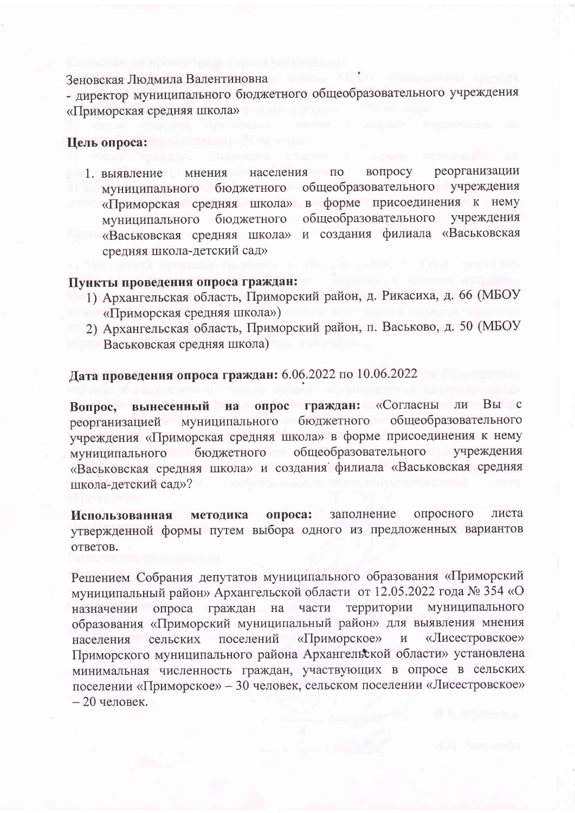Зеновская Людмила Валентиновна

- директор муниципального бюджетного общеобразовательного учреждения «Приморская средняя школа»

## Цель опроса:

вопросу реорганизации мнения  $\Pi$ O 1. выявление населения обшеобразовательного учреждения муниципального бюджетного в форме присоединения к нему «Приморская средняя школа» общеобразовательного учреждения муниципального бюлжетного и создания филиала «Васьковская «Васьковская средняя школа» средняя школа-детский сад»

# Пункты проведения опроса граждан:

- 1) Архангельская область, Приморский район, д. Рикасиха, д. 66 (МБОУ «Приморская средняя школа»)
- 2) Архангельская область, Приморский район, п. Васьково, д. 50 (МБОУ Васьковская средняя школа)

# Дата проведения опроса граждан: 6.06.2022 по 10.06.2022

вынесенный на опрос граждан: «Согласны ли Вы с Вопрос, реорганизацией муниципального бюджетного общеобразовательного учреждения «Приморская средняя школа» в форме присоединения к нему муниципального бюджетного общеобразовательного учреждения «Васьковская средняя школа» и создания филиала «Васьковская средняя школа-детский сад»?

заполнение опросного листа методика опроса: Использованная утвержденной формы путем выбора одного из предложенных вариантов ответов.

Решением Собрания депутатов муниципального образования «Приморский муниципальный район» Архангельской области от 12.05.2022 года № 354 «О граждан на части территории муниципального опроса назначении образования «Приморский муниципальный район» для выявления мнения сельских поселений «Приморское» «Лисестровское» населения  $\, {\rm N}$ Приморского муниципального района Архангельской области» установлена минимальная численность граждан, участвующих в опросе в сельских поселении «Приморское» - 30 человек, сельском поселении «Лисестровское»  $-20$  человек.